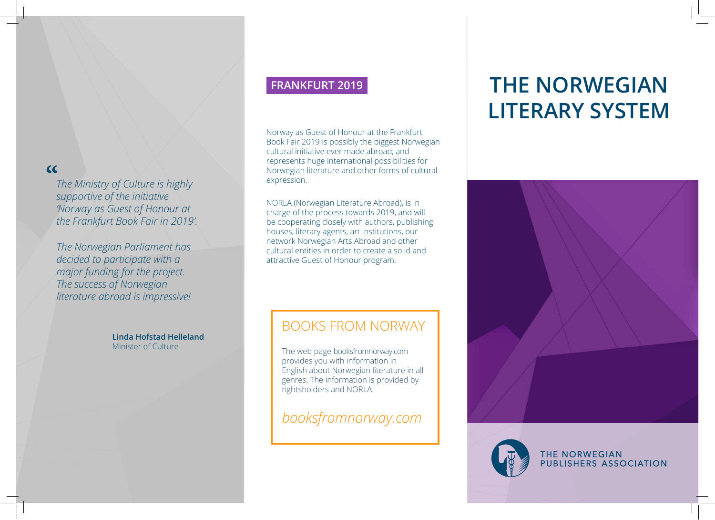## **"**

*The Ministry of Culture is highly supportive of the initiative 'Norway as Guest of Honour at the Frankfurt Book Fair in 2019'.*

*The Norwegian Parliament has decided to participate with a major funding for the project. The success of Norwegian literature abroad is impressive!*

> **Linda Hofstad Helleland** Minister of Culture

## **FRANKFURT 2019**

Norway as Guest of Honour at the Frankfurt Book Fair 2019 is possibly the biggest Norwegian cultural initiative ever made abroad, and represents huge international possibilities for Norwegian literature and other forms of cultural expression.

NORLA (Norwegian Literature Abroad), is in charge of the process towards 2019, and will be cooperating closely with authors, publishing houses, literary agents, art institutions, our network Norwegian Arts Abroad and other cultural entities in order to create a solid and attractive Guest of Honour program.

## BOOKS FROM NORWAY

The web page booksfromnorway.com provides you with information in English about Norwegian literature in all genres. The information is provided by rightsholders and NORLA.

*booksfromnorway.com*

# **THE NORWEGIAN LITERARY SYSTEM**





THE NORWEGIAN PUBLISHERS ASSOCIATION